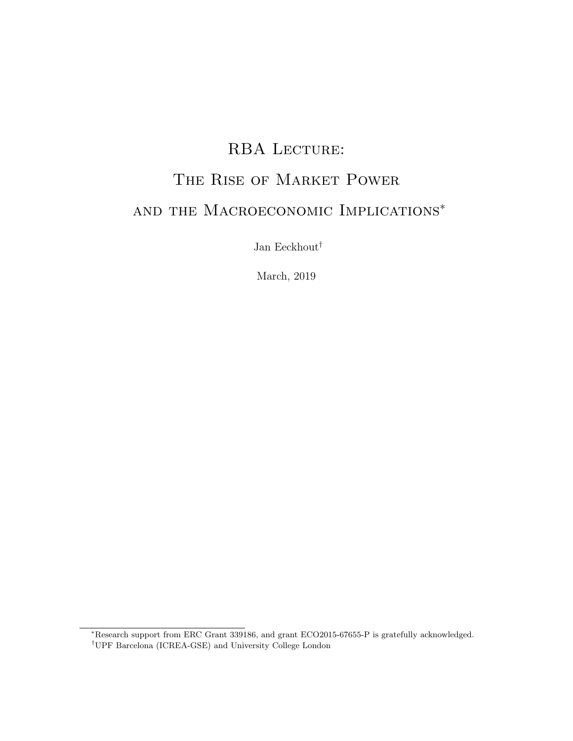## RBA LECTURE:

# The Rise of Market Power

# and the Macroeconomic Implications<sup>∗</sup>

Jan Eeckhout $^\dagger$ 

March, 2019

<sup>∗</sup>Research support from ERC Grant 339186, and grant ECO2015-67655-P is gratefully acknowledged.

<sup>†</sup>UPF Barcelona (ICREA-GSE) and University College London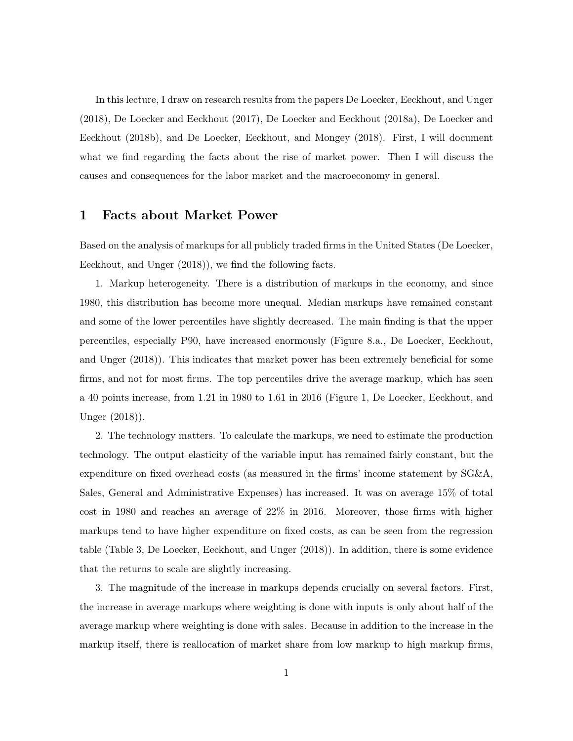In this lecture, I draw on research results from the papers De Loecker, Eeckhout, and Unger (2018), De Loecker and Eeckhout (2017), De Loecker and Eeckhout (2018a), De Loecker and Eeckhout (2018b), and De Loecker, Eeckhout, and Mongey (2018). First, I will document what we find regarding the facts about the rise of market power. Then I will discuss the causes and consequences for the labor market and the macroeconomy in general.

### 1 Facts about Market Power

Based on the analysis of markups for all publicly traded firms in the United States (De Loecker, Eeckhout, and Unger (2018)), we find the following facts.

1. Markup heterogeneity. There is a distribution of markups in the economy, and since 1980, this distribution has become more unequal. Median markups have remained constant and some of the lower percentiles have slightly decreased. The main finding is that the upper percentiles, especially P90, have increased enormously (Figure 8.a., De Loecker, Eeckhout, and Unger (2018)). This indicates that market power has been extremely beneficial for some firms, and not for most firms. The top percentiles drive the average markup, which has seen a 40 points increase, from 1.21 in 1980 to 1.61 in 2016 (Figure 1, De Loecker, Eeckhout, and Unger (2018)).

2. The technology matters. To calculate the markups, we need to estimate the production technology. The output elasticity of the variable input has remained fairly constant, but the expenditure on fixed overhead costs (as measured in the firms' income statement by SG&A, Sales, General and Administrative Expenses) has increased. It was on average 15% of total cost in 1980 and reaches an average of 22% in 2016. Moreover, those firms with higher markups tend to have higher expenditure on fixed costs, as can be seen from the regression table (Table 3, De Loecker, Eeckhout, and Unger (2018)). In addition, there is some evidence that the returns to scale are slightly increasing.

3. The magnitude of the increase in markups depends crucially on several factors. First, the increase in average markups where weighting is done with inputs is only about half of the average markup where weighting is done with sales. Because in addition to the increase in the markup itself, there is reallocation of market share from low markup to high markup firms,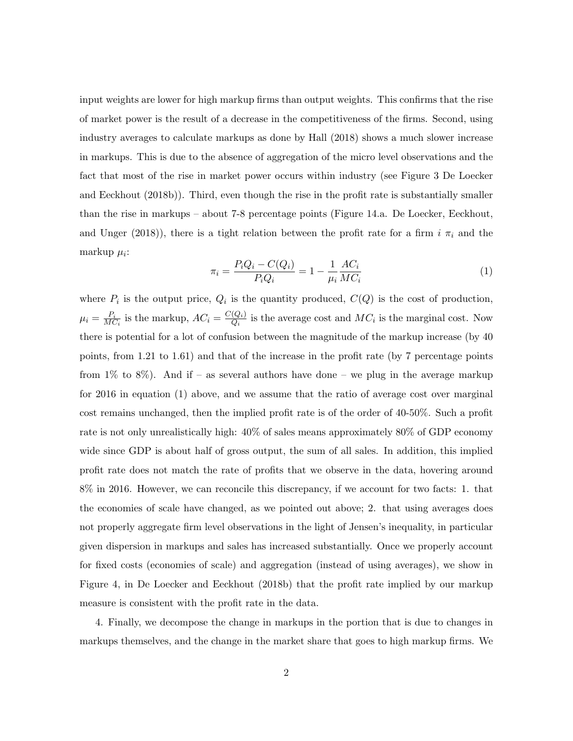input weights are lower for high markup firms than output weights. This confirms that the rise of market power is the result of a decrease in the competitiveness of the firms. Second, using industry averages to calculate markups as done by Hall (2018) shows a much slower increase in markups. This is due to the absence of aggregation of the micro level observations and the fact that most of the rise in market power occurs within industry (see Figure 3 De Loecker and Eeckhout (2018b)). Third, even though the rise in the profit rate is substantially smaller than the rise in markups – about 7-8 percentage points (Figure 14.a. De Loecker, Eeckhout, and Unger (2018)), there is a tight relation between the profit rate for a firm  $i \pi_i$  and the markup  $\mu_i$ :

$$
\pi_i = \frac{P_i Q_i - C(Q_i)}{P_i Q_i} = 1 - \frac{1}{\mu_i} \frac{AC_i}{MC_i}
$$
\n(1)

where  $P_i$  is the output price,  $Q_i$  is the quantity produced,  $C(Q)$  is the cost of production,  $\mu_i = \frac{P_i}{M}$  $\frac{P_i}{MC_i}$  is the markup,  $AC_i = \frac{C(Q_i)}{Q_i}$  $\frac{(Q_i)}{Q_i}$  is the average cost and  $MC_i$  is the marginal cost. Now there is potential for a lot of confusion between the magnitude of the markup increase (by 40 points, from 1.21 to 1.61) and that of the increase in the profit rate (by 7 percentage points from  $1\%$  to  $8\%$ ). And if – as several authors have done – we plug in the average markup for 2016 in equation (1) above, and we assume that the ratio of average cost over marginal cost remains unchanged, then the implied profit rate is of the order of 40-50%. Such a profit rate is not only unrealistically high: 40% of sales means approximately 80% of GDP economy wide since GDP is about half of gross output, the sum of all sales. In addition, this implied profit rate does not match the rate of profits that we observe in the data, hovering around 8% in 2016. However, we can reconcile this discrepancy, if we account for two facts: 1. that the economies of scale have changed, as we pointed out above; 2. that using averages does not properly aggregate firm level observations in the light of Jensen's inequality, in particular given dispersion in markups and sales has increased substantially. Once we properly account for fixed costs (economies of scale) and aggregation (instead of using averages), we show in Figure 4, in De Loecker and Eeckhout (2018b) that the profit rate implied by our markup measure is consistent with the profit rate in the data.

4. Finally, we decompose the change in markups in the portion that is due to changes in markups themselves, and the change in the market share that goes to high markup firms. We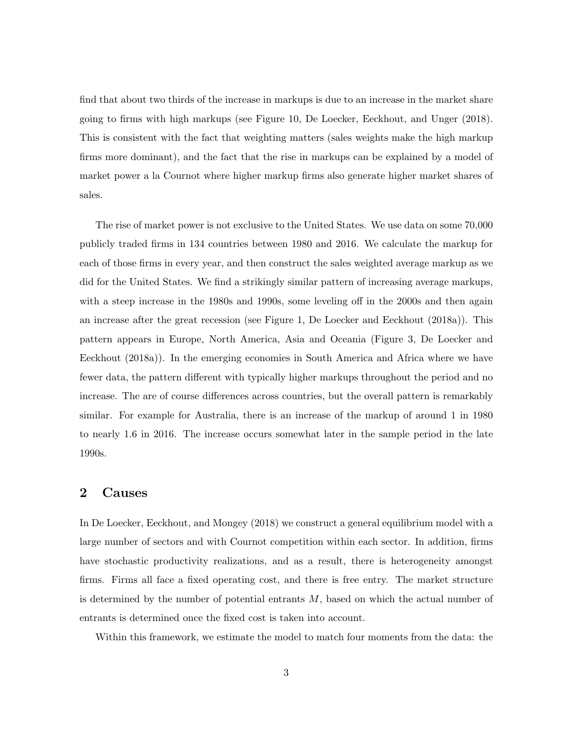find that about two thirds of the increase in markups is due to an increase in the market share going to firms with high markups (see Figure 10, De Loecker, Eeckhout, and Unger (2018). This is consistent with the fact that weighting matters (sales weights make the high markup firms more dominant), and the fact that the rise in markups can be explained by a model of market power a la Cournot where higher markup firms also generate higher market shares of sales.

The rise of market power is not exclusive to the United States. We use data on some 70,000 publicly traded firms in 134 countries between 1980 and 2016. We calculate the markup for each of those firms in every year, and then construct the sales weighted average markup as we did for the United States. We find a strikingly similar pattern of increasing average markups, with a steep increase in the 1980s and 1990s, some leveling off in the 2000s and then again an increase after the great recession (see Figure 1, De Loecker and Eeckhout (2018a)). This pattern appears in Europe, North America, Asia and Oceania (Figure 3, De Loecker and Eeckhout (2018a)). In the emerging economies in South America and Africa where we have fewer data, the pattern different with typically higher markups throughout the period and no increase. The are of course differences across countries, but the overall pattern is remarkably similar. For example for Australia, there is an increase of the markup of around 1 in 1980 to nearly 1.6 in 2016. The increase occurs somewhat later in the sample period in the late 1990s.

#### 2 Causes

In De Loecker, Eeckhout, and Mongey (2018) we construct a general equilibrium model with a large number of sectors and with Cournot competition within each sector. In addition, firms have stochastic productivity realizations, and as a result, there is heterogeneity amongst firms. Firms all face a fixed operating cost, and there is free entry. The market structure is determined by the number of potential entrants  $M$ , based on which the actual number of entrants is determined once the fixed cost is taken into account.

Within this framework, we estimate the model to match four moments from the data: the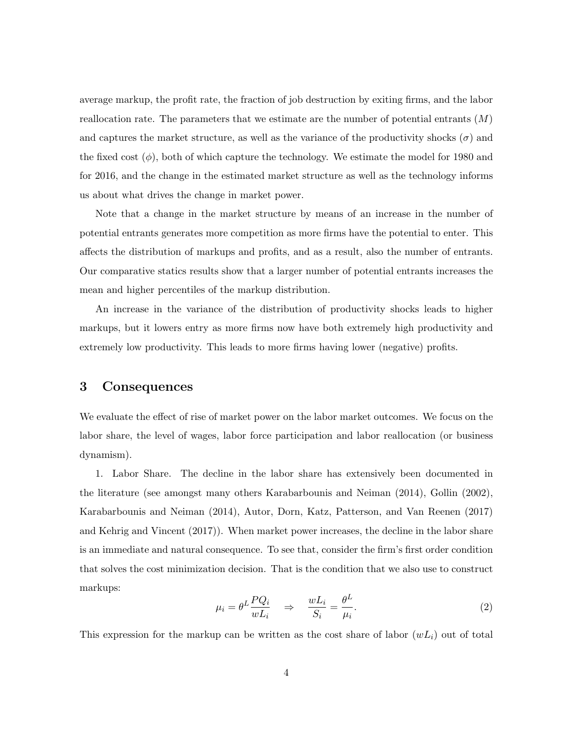average markup, the profit rate, the fraction of job destruction by exiting firms, and the labor reallocation rate. The parameters that we estimate are the number of potential entrants  $(M)$ and captures the market structure, as well as the variance of the productivity shocks  $(\sigma)$  and the fixed cost  $(\phi)$ , both of which capture the technology. We estimate the model for 1980 and for 2016, and the change in the estimated market structure as well as the technology informs us about what drives the change in market power.

Note that a change in the market structure by means of an increase in the number of potential entrants generates more competition as more firms have the potential to enter. This affects the distribution of markups and profits, and as a result, also the number of entrants. Our comparative statics results show that a larger number of potential entrants increases the mean and higher percentiles of the markup distribution.

An increase in the variance of the distribution of productivity shocks leads to higher markups, but it lowers entry as more firms now have both extremely high productivity and extremely low productivity. This leads to more firms having lower (negative) profits.

#### 3 Consequences

We evaluate the effect of rise of market power on the labor market outcomes. We focus on the labor share, the level of wages, labor force participation and labor reallocation (or business dynamism).

1. Labor Share. The decline in the labor share has extensively been documented in the literature (see amongst many others Karabarbounis and Neiman (2014), Gollin (2002), Karabarbounis and Neiman (2014), Autor, Dorn, Katz, Patterson, and Van Reenen (2017) and Kehrig and Vincent (2017)). When market power increases, the decline in the labor share is an immediate and natural consequence. To see that, consider the firm's first order condition that solves the cost minimization decision. That is the condition that we also use to construct markups:

$$
\mu_i = \theta^L \frac{P Q_i}{w L_i} \quad \Rightarrow \quad \frac{w L_i}{S_i} = \frac{\theta^L}{\mu_i}.
$$
\n<sup>(2)</sup>

This expression for the markup can be written as the cost share of labor  $(wL_i)$  out of total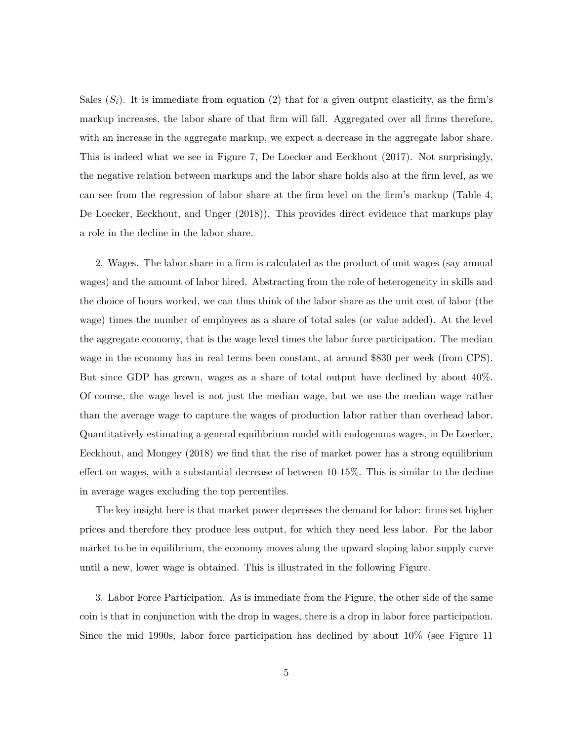Sales  $(S_i)$ . It is immediate from equation (2) that for a given output elasticity, as the firm's markup increases, the labor share of that firm will fall. Aggregated over all firms therefore, with an increase in the aggregate markup, we expect a decrease in the aggregate labor share. This is indeed what we see in Figure 7, De Loecker and Eeckhout (2017). Not surprisingly, the negative relation between markups and the labor share holds also at the firm level, as we can see from the regression of labor share at the firm level on the firm's markup (Table 4, De Loecker, Eeckhout, and Unger (2018)). This provides direct evidence that markups play a role in the decline in the labor share.

2. Wages. The labor share in a firm is calculated as the product of unit wages (say annual wages) and the amount of labor hired. Abstracting from the role of heterogeneity in skills and the choice of hours worked, we can thus think of the labor share as the unit cost of labor (the wage) times the number of employees as a share of total sales (or value added). At the level the aggregate economy, that is the wage level times the labor force participation. The median wage in the economy has in real terms been constant, at around \$830 per week (from CPS). But since GDP has grown, wages as a share of total output have declined by about 40%. Of course, the wage level is not just the median wage, but we use the median wage rather than the average wage to capture the wages of production labor rather than overhead labor. Quantitatively estimating a general equilibrium model with endogenous wages, in De Loecker, Eeckhout, and Mongey (2018) we find that the rise of market power has a strong equilibrium effect on wages, with a substantial decrease of between 10-15%. This is similar to the decline in average wages excluding the top percentiles.

The key insight here is that market power depresses the demand for labor: firms set higher prices and therefore they produce less output, for which they need less labor. For the labor market to be in equilibrium, the economy moves along the upward sloping labor supply curve until a new, lower wage is obtained. This is illustrated in the following Figure.

3. Labor Force Participation. As is immediate from the Figure, the other side of the same coin is that in conjunction with the drop in wages, there is a drop in labor force participation. Since the mid 1990s, labor force participation has declined by about 10% (see Figure 11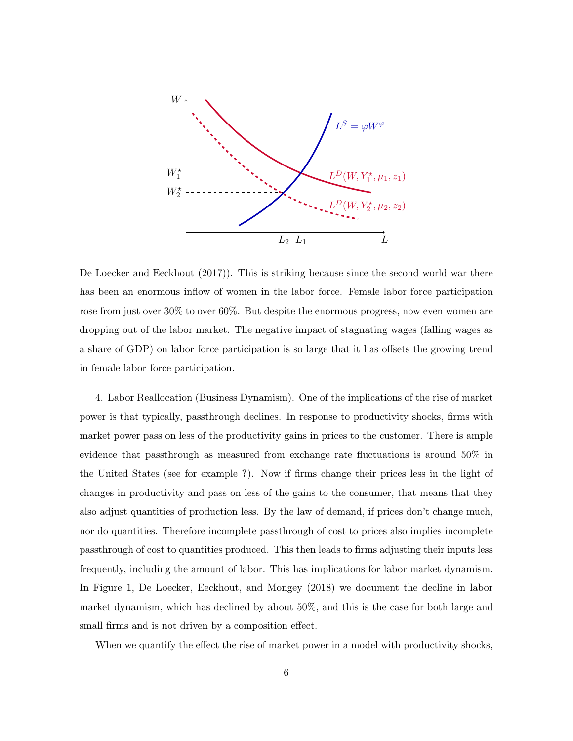

De Loecker and Eeckhout (2017)). This is striking because since the second world war there has been an enormous inflow of women in the labor force. Female labor force participation rose from just over 30% to over 60%. But despite the enormous progress, now even women are dropping out of the labor market. The negative impact of stagnating wages (falling wages as a share of GDP) on labor force participation is so large that it has offsets the growing trend in female labor force participation.

4. Labor Reallocation (Business Dynamism). One of the implications of the rise of market power is that typically, passthrough declines. In response to productivity shocks, firms with market power pass on less of the productivity gains in prices to the customer. There is ample evidence that passthrough as measured from exchange rate fluctuations is around 50% in the United States (see for example ?). Now if firms change their prices less in the light of changes in productivity and pass on less of the gains to the consumer, that means that they also adjust quantities of production less. By the law of demand, if prices don't change much, nor do quantities. Therefore incomplete passthrough of cost to prices also implies incomplete passthrough of cost to quantities produced. This then leads to firms adjusting their inputs less frequently, including the amount of labor. This has implications for labor market dynamism. In Figure 1, De Loecker, Eeckhout, and Mongey (2018) we document the decline in labor market dynamism, which has declined by about 50%, and this is the case for both large and small firms and is not driven by a composition effect.

When we quantify the effect the rise of market power in a model with productivity shocks,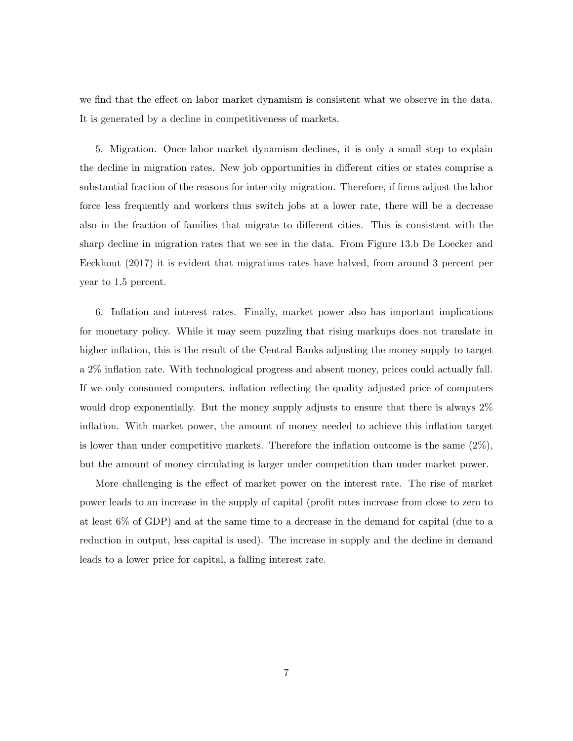we find that the effect on labor market dynamism is consistent what we observe in the data. It is generated by a decline in competitiveness of markets.

5. Migration. Once labor market dynamism declines, it is only a small step to explain the decline in migration rates. New job opportunities in different cities or states comprise a substantial fraction of the reasons for inter-city migration. Therefore, if firms adjust the labor force less frequently and workers thus switch jobs at a lower rate, there will be a decrease also in the fraction of families that migrate to different cities. This is consistent with the sharp decline in migration rates that we see in the data. From Figure 13.b De Loecker and Eeckhout (2017) it is evident that migrations rates have halved, from around 3 percent per year to 1.5 percent.

6. Inflation and interest rates. Finally, market power also has important implications for monetary policy. While it may seem puzzling that rising markups does not translate in higher inflation, this is the result of the Central Banks adjusting the money supply to target a 2% inflation rate. With technological progress and absent money, prices could actually fall. If we only consumed computers, inflation reflecting the quality adjusted price of computers would drop exponentially. But the money supply adjusts to ensure that there is always  $2\%$ inflation. With market power, the amount of money needed to achieve this inflation target is lower than under competitive markets. Therefore the inflation outcome is the same  $(2\%)$ , but the amount of money circulating is larger under competition than under market power.

More challenging is the effect of market power on the interest rate. The rise of market power leads to an increase in the supply of capital (profit rates increase from close to zero to at least 6% of GDP) and at the same time to a decrease in the demand for capital (due to a reduction in output, less capital is used). The increase in supply and the decline in demand leads to a lower price for capital, a falling interest rate.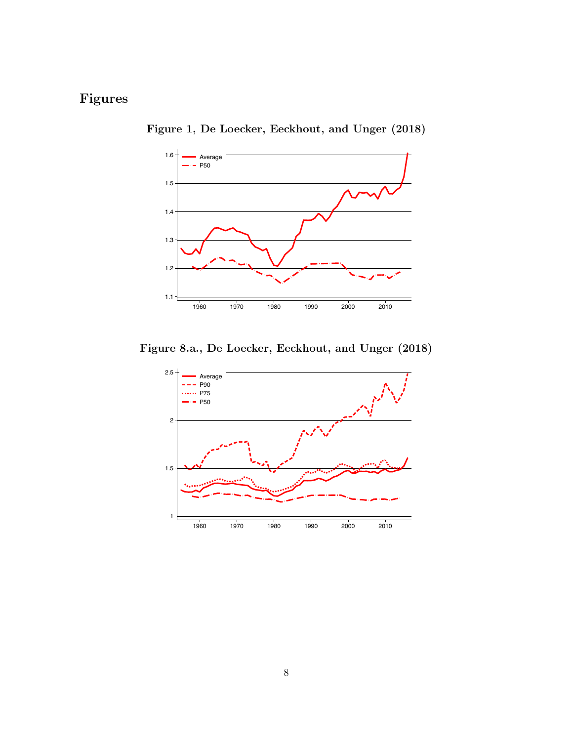## Figures



Figure 1, De Loecker, Eeckhout, and Unger (2018)

Figure 8.a., De Loecker, Eeckhout, and Unger (2018)

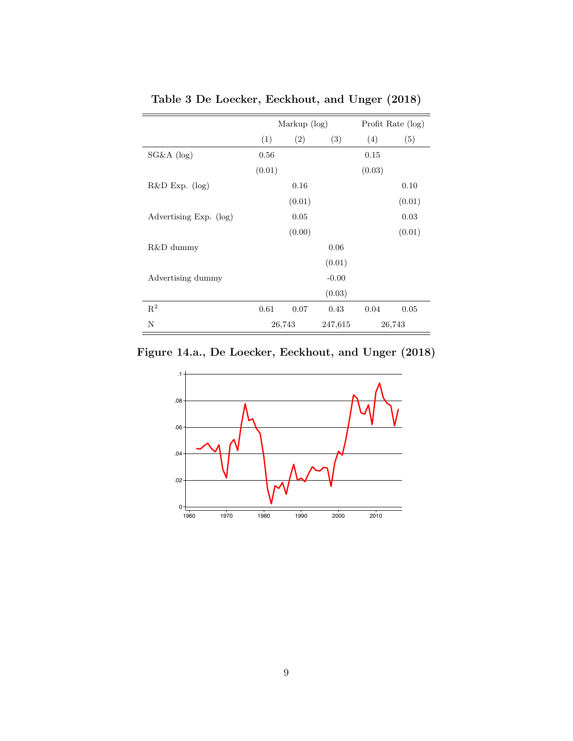|                        | Markup (log) |        |         | Profit Rate (log) |        |
|------------------------|--------------|--------|---------|-------------------|--------|
|                        | (1)          | (2)    | (3)     | (4)               | (5)    |
| SG&A (log)             | 0.56         |        |         | 0.15              |        |
|                        | (0.01)       |        |         | (0.03)            |        |
| $R&D\;Exp.$ (log)      |              | 0.16   |         |                   | 0.10   |
|                        |              | (0.01) |         |                   | (0.01) |
| Advertising Exp. (log) |              | 0.05   |         |                   | 0.03   |
|                        |              | (0.00) |         |                   | (0.01) |
| R&D dummy              |              |        | 0.06    |                   |        |
|                        |              |        | (0.01)  |                   |        |
| Advertising dummy      |              |        | $-0.00$ |                   |        |
|                        |              |        | (0.03)  |                   |        |
| $R^2$                  | 0.61         | 0.07   | 0.43    | 0.04              | 0.05   |
| N                      | 26,743       |        | 247,615 | 26,743            |        |

Table 3 De Loecker, Eeckhout, and Unger (2018)

Figure 14.a., De Loecker, Eeckhout, and Unger (2018)

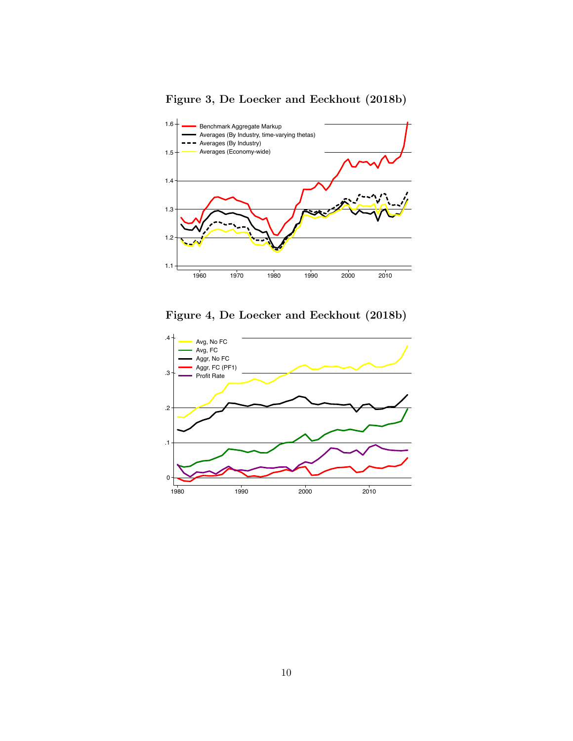

Figure 3, De Loecker and Eeckhout (2018b)

Figure 4, De Loecker and Eeckhout (2018b)

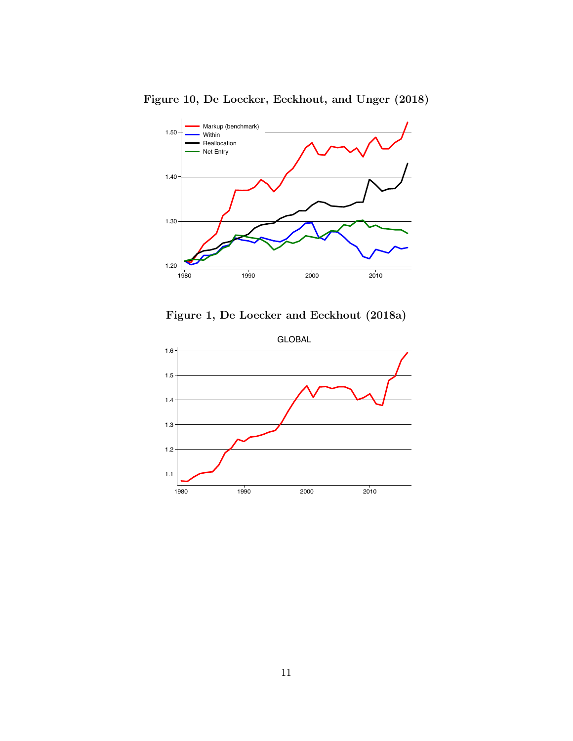

Figure 10, De Loecker, Eeckhout, and Unger (2018)

Figure 1, De Loecker and Eeckhout (2018a)

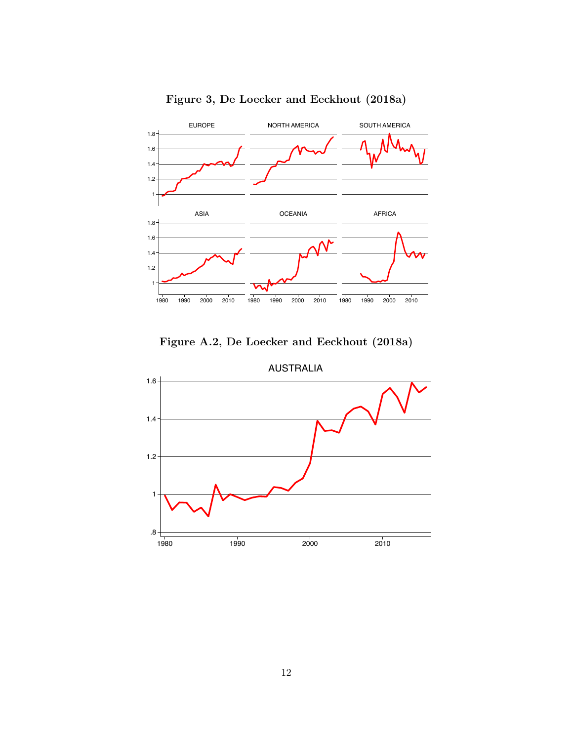

Figure 3, De Loecker and Eeckhout (2018a)





AUSTRALIA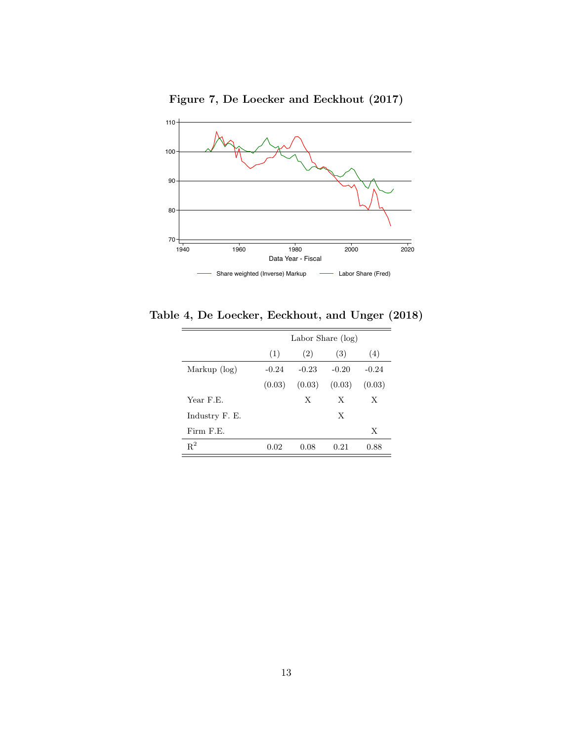Figure 7, De Loecker and Eeckhout (2017)



Table 4, De Loecker, Eeckhout, and Unger (2018)

|                | Labor Share (log) |         |         |         |  |  |  |
|----------------|-------------------|---------|---------|---------|--|--|--|
|                | (1)               | (2)     | (3)     | (4)     |  |  |  |
| Markup (log)   | $-0.24$           | $-0.23$ | $-0.20$ | $-0.24$ |  |  |  |
|                | (0.03)            | (0.03)  | (0.03)  | (0.03)  |  |  |  |
| Year F.E.      |                   | X       | X       | X       |  |  |  |
| Industry F. E. |                   |         | X       |         |  |  |  |
| Firm F.E.      |                   |         |         | X       |  |  |  |
| $\mathrm{R}^2$ | 0.02              | 0.08    | 0.21    | 0.88    |  |  |  |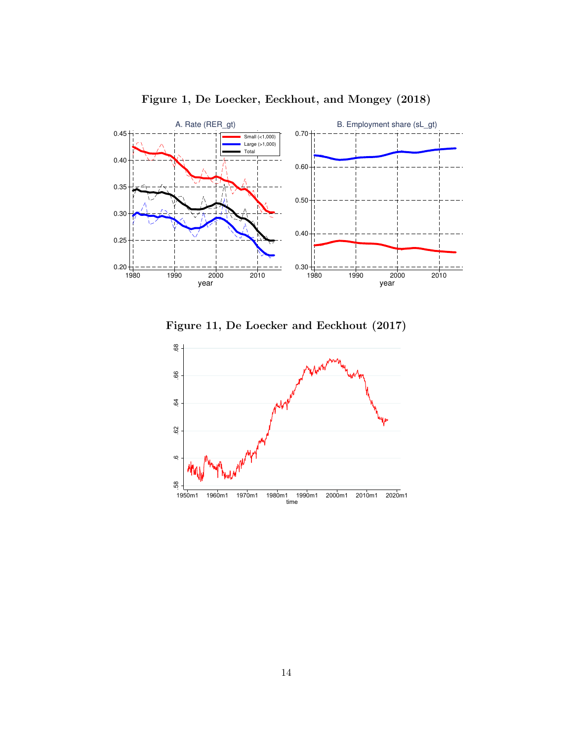



Figure 11, De Loecker and Eeckhout (2017)

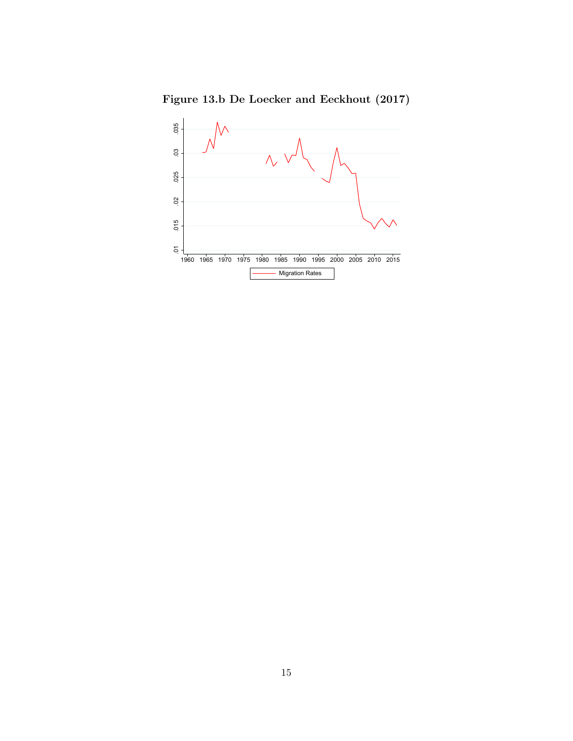Figure 13.b De Loecker and Eeckhout (2017)